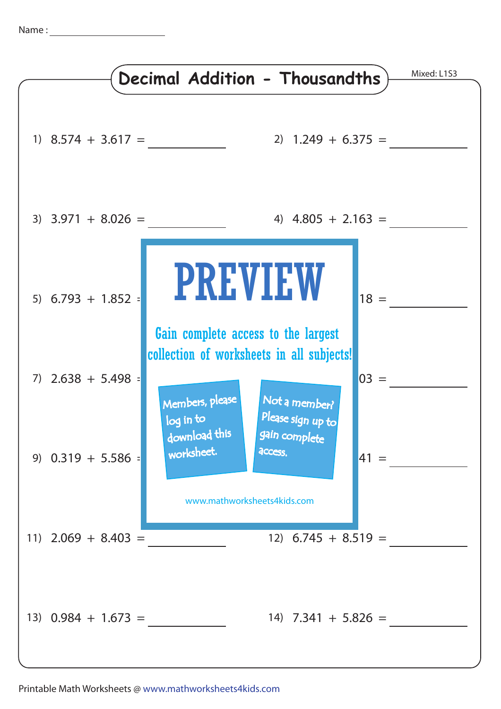